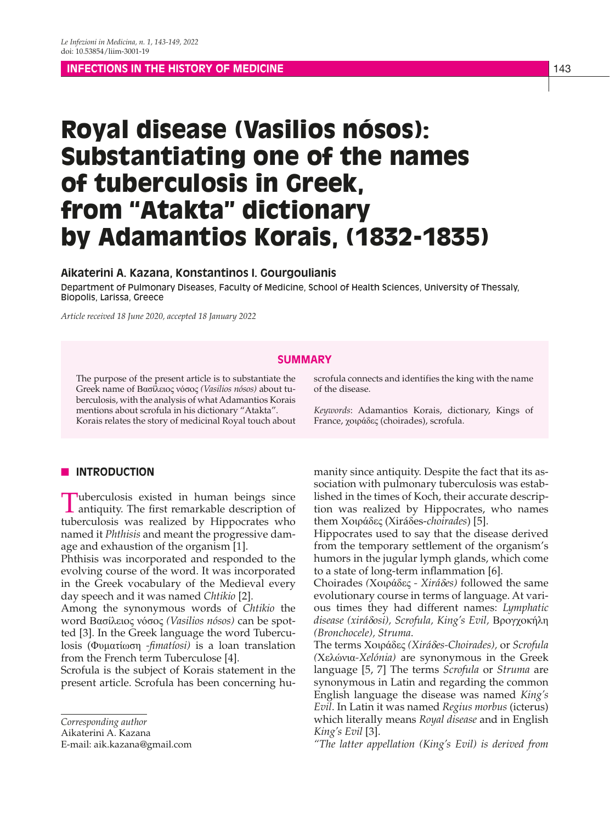**INFECTIONS IN THE HISTORY OF MEDICINE** 1999 THE MEDICINE 143

# Royal disease (Vasilios nósos): Substantiating one of the names of tuberculosis in Greek, from "Atakta" dictionary by Adamantios Korais, (1832-1835)

## **Aikaterini A. Kazana, Konstantinos I. Gourgoulianis**

Department of Pulmonary Diseases, Faculty of Medicine, School of Health Sciences, University of Thessaly, Biopolis, Larissa, Greece

*Article received 18 June 2020, accepted 18 January 2022*

# **SUMMARY**

The purpose of the present article is to substantiate the Greek name of Βασίλειoς νόσoς *(Vasilios nósos)* about tuberculosis, with the analysis of what Adamantios Korais mentions about scrofula in his dictionary "Atakta". Korais relates the story of medicinal Royal touch about scrofula connects and identifies the king with the name of the disease.

*Keywords*: Adamantios Korais, dictionary, Kings of France, χoιράδες (choirades), scrofula.

## **N** INTRODUCTION

Tuberculosis existed in human beings since antiquity. The first remarkable description of tuberculosis was realized by Hippocrates who named it *Phthisis* and meant the progressive damage and exhaustion of the organism [1].

Phthisis was incorporated and responded to the evolving course of the word. It was incorporated in the Greek vocabulary of the Medieval every day speech and it was named *Chtikio* [2].

Among the synonymous words of *Chtikio* the word Βασίλειος νόσος *(Vasilios nósos)* can be spotted [3]. In the Greek language the word Tuberculosis (Φυματίωση *-fimatíosi)* is a loan translation from the French term Tuberculose [4].

Scrofula is the subject of Korais statement in the present article. Scrofula has been concerning hu-

*Corresponding author*

Aikaterini A. Kazana

E-mail: aik.kazana@gmail.com

manity since antiquity. Despite the fact that its association with pulmonary tuberculosis was established in the times of Koch, their accurate description was realized by Hippocrates, who names them Χοιράδες (Xiráδes-*choirades*) [5].

Hippocrates used to say that the disease derived from the temporary settlement of the organism's humors in the jugular lymph glands, which come to a state of long-term inflammation [6].

Choirades *(*Χοιράδες *- Xirá*δ*es)* followed the same evolutionary course in terms of language. At various times they had different names: *Lymphatic disease (xirá*δ*osi), Scrofula, King's Evil,* Βρογχοκήλη *(Bronchocele), Struma*.

The terms Χοιράδες *(Xirá*δ*es-Choirades),* or *Scrofula (*Χελώνια*-Xelónia)* are synonymous in the Greek language [5, 7] The terms *Scrofula* or *Struma* are synonymous in Latin and regarding the common English language the disease was named *King's Evil*. In Latin it was named *Regius morbus* (icterus) which literally means *Royal disease* and in English *King's Evil* [3].

*"The latter appellation (King's Evil) is derived from*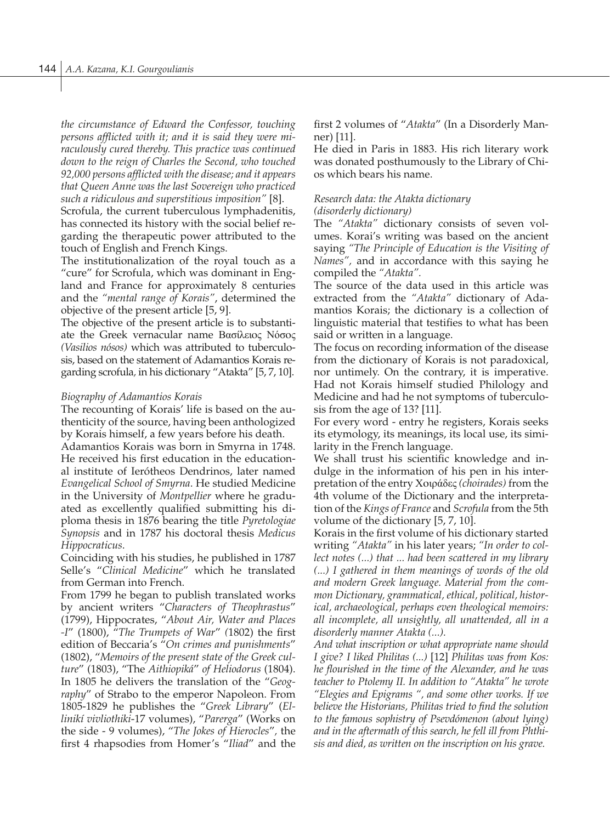*the circumstance of Edward the Confessor, touching persons afflicted with it; and it is said they were miraculously cured thereby. This practice was continued down to the reign of Charles the Second, who touched 92,000 persons afflicted with the disease; and it appears that Queen Anne was the last Sovereign who practiced such a ridiculous and superstitious imposition"* [8].

Scrofula, the current tuberculous lymphadenitis, has connected its history with the social belief regarding the therapeutic power attributed to the touch of English and French Kings.

The institutionalization of the royal touch as a "cure" for Scrofula, which was dominant in England and France for approximately 8 centuries and the *"mental range of Korais"*, determined the objective of the present article [5, 9].

The objective of the present article is to substantiate the Greek vernacular name Βασίλειος Νόσος *(Vasilios nósos)* which was attributed to tuberculosis, based on the statement of Adamantios Korais regarding scrofula*,* in his dictionary "Atakta" [5, 7, 10].

### *Biography of Adamantios Korais*

The recounting of Korais' life is based on the authenticity of the source, having been anthologized by Korais himself, a few years before his death.

Adamantios Korais was born in Smyrna in 1748. He received his first education in the educational institute of Ierótheos Dendrinos, later named *Evangelical School of Smyrna*. He studied Medicine in the University of *Montpellier* where he graduated as excellently qualified submitting his diploma thesis in 1876 bearing the title *Pyretologiae Synopsis* and in 1787 his doctoral thesis *Medicus Hippocraticus*.

Coinciding with his studies, he published in 1787 Selle's "*Clinical Medicine*" which he translated from German into French.

From 1799 he began to publish translated works by ancient writers "*Characters of Theophrastus*" (1799), Hippocrates, "*About Air, Water and Places -I*" (1800), "*The Trumpets of War*" *(*1802) the first edition of Beccaria's "*On crimes and punishments*" (1802), "*Memoirs of the present state of the Greek culture*" (1803), "The *Aithiopiká*" *of Heliodorus* (1804). In 1805 he delivers the translation of the "*Geography*" of Strabo to the emperor Napoleon. From 1805-1829 he publishes the "*Greek Library*" (*Ellinikí vivliothiki*-17 volumes), "*Parerga*" (Works on the side - 9 volumes), "*The Jokes of Hierocles*"*,* the first 4 rhapsodies from Homer's "*Iliad*" and the first 2 volumes of "*Atakta*" (In a Disorderly Manner) [11].

He died in Paris in 1883. His rich literary work was donated posthumously to the Library of Chios which bears his name.

# *Research data: the Atakta dictionary (disorderly dictionary)*

The *"Atakta"* dictionary consists of seven volumes. Korai's writing was based on the ancient saying *"The Principle of Education is the Visiting of Names",* and in accordance with this saying he compiled the *"Atakta".*

The source of the data used in this article was extracted from the *"Atakta"* dictionary of Adamantios Korais; the dictionary is a collection of linguistic material that testifies to what has been said or written in a language.

The focus on recording information of the disease from the dictionary of Korais is not paradoxical, nor untimely. On the contrary, it is imperative. Had not Korais himself studied Philology and Medicine and had he not symptoms of tuberculosis from the age of 13? [11].

For every word - entry he registers, Korais seeks its etymology, its meanings, its local use, its similarity in the French language.

We shall trust his scientific knowledge and indulge in the information of his pen in his interpretation of the entry Χοιράδες *(choirades)* from the 4th volume of the Dictionary and the interpretation of the *Kings of France* and *Scrofula* from the 5th volume of the dictionary [5, 7, 10].

Korais in the first volume of his dictionary started writing *"Atakta"* in his later years; *"In order to collect notes (...) that ... had been scattered in my library (...) I gathered in them meanings of words of the old and modern Greek language. Material from the common Dictionary, grammatical, ethical, political, historical, archaeological, perhaps even theological memoirs: all incomplete, all unsightly, all unattended, all in a disorderly manner Atakta (...).*

*And what inscription or what appropriate name should I give? I liked Philitas (...)* [12] *Philitas was from Kos: he flourished in the time of the Alexander, and he was teacher to Ptolemy II. In addition to "Atakta" he wrote "Elegies and Epigrams ", and some other works. If we believe the Historians, Philitas tried to find the solution to the famous sophistry of Psevdómenon (about lying) and in the aftermath of this search, he fell ill from Phthisis and died, as written on the inscription on his grave.*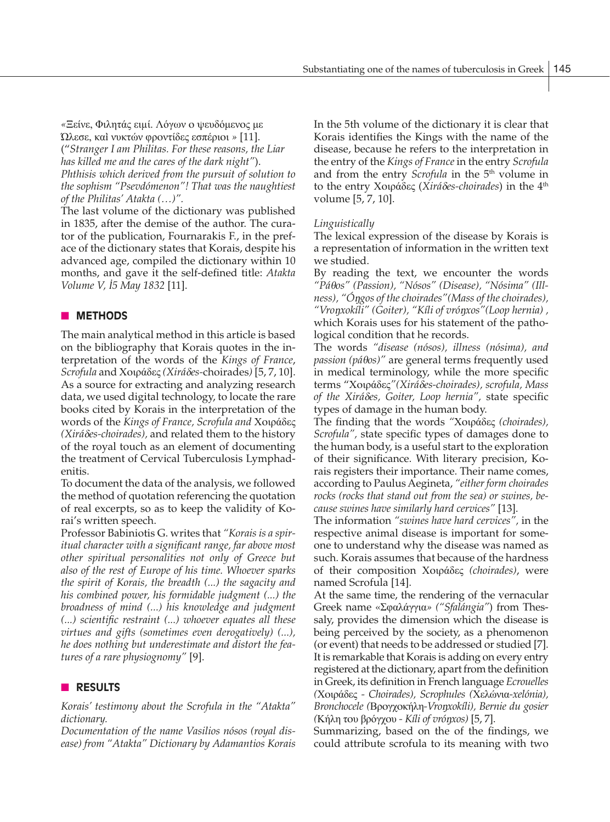*«*Ξείνε, Φιλητάς ειµί. Λόγwν ο ψευδόμενος με Ώλεσε, καì νυκτών φροντίδες εσπέριoι *»* [11]. ("*Stranger I am Philitas. For these reasons, the Liar*

*has killed me and the cares of the dark night"*).

*Phthisis which derived from the pursuit of solution to the sophism "Psevdómenon"! That was the naughtiest of the Philitas' Atakta (…)".*

The last volume of the dictionary was published in 1835, after the demise of the author. The curator of the publication, Fournarakis F., in the preface of the dictionary states that Korais, despite his advanced age, compiled the dictionary within 10 months, and gave it the self-defined title: *Atakta Volume V,* Ι*5 May 1832* [11].

# **NETHODS**

The main analytical method in this article is based on the bibliography that Korais quotes in the interpretation of the words of the *Kings of France*, *Scrofula* and Χοιράδες *(Xirá*δ*es-*choirades*)* [5, 7, 10]. As a source for extracting and analyzing research data, we used digital technology, to locate the rare books cited by Korais in the interpretation of the words of the *Kings of France, Scrofula and* Χοιράδες *(Xirá*δ*es-choirades),* and related them to the history of the royal touch as an element of documenting the treatment of Cervical Tuberculosis Lymphadenitis.

To document the data of the analysis, we followed the method of quotation referencing the quotation of real excerpts, so as to keep the validity of Korai's written speech.

Professor Babiniotis G. writes that *"Korais is a spiritual character with a significant range, far above most other spiritual personalities not only of Greece but also of the rest of Europe of his time. Whoever sparks the spirit of Korais, the breadth (...) the sagacity and his combined power, his formidable judgment (...) the broadness of mind (...) his knowledge and judgment (...) scientific restraint (...) whoever equates all these virtues and gifts (sometimes even derogatively) (...), he does nothing but underestimate and distort the features of a rare physiognomy"* [9].

# **n RESULTS**

*Korais' testimony about the Scrofula in the "Atakta" dictionary.*

*Documentation of the name Vasilios nósos (royal disease) from "Atakta" Dictionary by Adamantios Korais* In the 5th volume of the dictionary it is clear that Korais identifies the Kings with the name of the disease, because he refers to the interpretation in the entry of the *Kings of France* in the entry *Scrofula*  and from the entry *Scrofula* in the 5<sup>th</sup> volume in to the entry Χοιράδες (*Xirá*δ*es-choirades*) in the 4th volume [5, 7, 10].

## *Linguistically*

The lexical expression of the disease by Korais is a representation of information in the written text we studied.

By reading the text, we encounter the words *"Pá*θ*os" (Passion), "Nósos" (Disease), "Nósima" (Illness), "Ó*ŋ*gos of the choirades"(Mass of the choirades), "Vro*ŋ*xokíli" (Goiter), "Kíli of vró*ŋ*xos"(Loop hernia) ,* which Korais uses for his statement of the pathological condition that he records.

The words *"disease (nósos), illness (nósima), and passion (páθos)*" are general terms frequently used in medical terminology, while the more specific terms "Χοιράδες*"(Xirá*δ*es-choirades), scrofula, Mass of the Xirá*δ*es, Goiter, Loop hernia",* state specific types of damage in the human body.

The finding that the words *"*Χοιράδες *(choirades), Scrofula",* state specific types of damages done to the human body, is a useful start to the exploration of their significance. With literary precision, Korais registers their importance. Their name comes, according to Paulus Aegineta, *"either form choirades rocks (rocks that stand out from the sea) or swines, because swines have similarly hard cervices"* [13].

The information *"swines have hard cervices",* in the respective animal disease is important for someone to understand why the disease was named as such. Korais assumes that because of the hardness of their composition Χοιράδες *(choirades)*, were named Scrofula [14].

At the same time, the rendering of the vernacular Greek name «Σφαλάγγια*» ("Sfalángia"*) from Thessaly, provides the dimension which the disease is being perceived by the society, as a phenomenon (or event) that needs to be addressed or studied [7]. It is remarkable that Korais is adding on every entry registered at the dictionary, apart from the definition in Greek, its definition in French language *Ecrouelles (*Χοιράδες *- Choirades), Scrophules (*Χελώνια*-xelónia), Bronchocele (*Βρογχοκήλη*-Vro*ŋ*xokíli), Bernie du gosier (*Κήλη του βρόγχου *- Kíli of vró*ŋ*xos)* [5, 7].

Summarizing, based on the of the findings, we could attribute scrofula to its meaning with two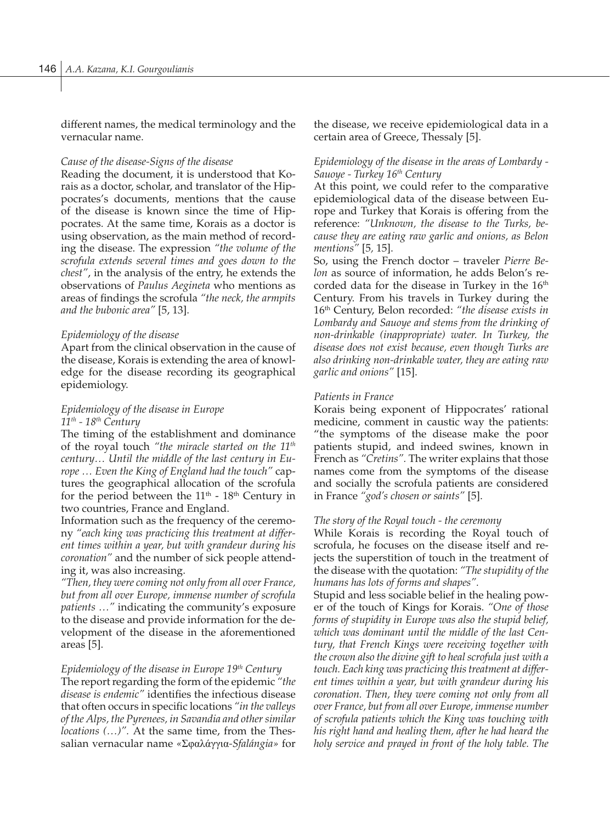different names, the medical terminology and the vernacular name.

### *Cause of the disease-Signs of the disease*

Reading the document, it is understood that Korais as a doctor, scholar, and translator of the Hippocrates's documents, mentions that the cause of the disease is known since the time of Hippocrates. At the same time, Korais as a doctor is using observation, as the main method of recording the disease. The expression *"the volume of the scrofula extends several times and goes down to the chest"*, in the analysis of the entry, he extends the observations of *Paulus Aegineta* who mentions as areas of findings the scrofula *"the neck, the armpits and the bubonic area"* [5, 13].

#### *Epidemiology of the disease*

Apart from the clinical observation in the cause of the disease, Korais is extending the area of knowledge for the disease recording its geographical epidemiology.

## *Epidemiology of the disease in Europe 11th - 18th Century*

The timing of the establishment and dominance of the royal touch *"the miracle started on the 11th century… Until the middle of the last century in Europe … Even the King of England had the touch"* captures the geographical allocation of the scrofula for the period between the  $11<sup>th</sup>$  -  $18<sup>th</sup>$  Century in two countries, France and England.

Information such as the frequency of the ceremony *"each king was practicing this treatment at different times within a year, but with grandeur during his coronation"* and the number of sick people attending it, was also increasing.

*"Then, they were coming not only from all over France, but from all over Europe, immense number of scrofula patients …"* indicating the community's exposure to the disease and provide information for the development of the disease in the aforementioned areas [5].

# *Epidemiology of the disease in Europe 19th Century*

The report regarding the form of the epidemic *"the disease is endemic"* identifies the infectious disease that often occurs in specific locations *"in the valleys of the Alps, the Pyrenees, in Savandia and other similar locations (…)".* At the same time, from the Thessalian vernacular name *«*Σφαλάγγια*-Sfalángia»* for

the disease, we receive epidemiological data in a certain area of Greece, Thessaly [5].

# *Epidemiology of the disease in the areas of Lombardy - Sauoye - Turkey 16th Century*

At this point, we could refer to the comparative epidemiological data of the disease between Europe and Turkey that Korais is offering from the reference: *"Unknown, the disease to the Turks, because they are eating raw garlic and onions, as Belon mentions"* [5*,* 15].

So, using the French doctor – traveler *Pierre Belon* as source of information, he adds Belon's recorded data for the disease in Turkey in the 16<sup>th</sup> Century. From his travels in Turkey during the 16th Century, Belon recorded: *"the disease exists in Lombardy and Sauoye and stems from the drinking of non-drinkable (inappropriate) water. In Turkey, the disease does not exist because, even though Turks are also drinking non-drinkable water, they are eating raw garlic and onions"* [15].

#### *Patients in France*

Korais being exponent of Hippocrates' rational medicine, comment in caustic way the patients: "the symptoms of the disease make the poor patients stupid, and indeed swines, known in French as *"Cretins".* The writer explains that those names come from the symptoms of the disease and socially the scrofula patients are considered in France *"god's chosen or saints"* [5].

#### *The story of the Royal touch - the ceremony*

While Korais is recording the Royal touch of scrofula, he focuses on the disease itself and rejects the superstition of touch in the treatment of the disease with the quotation: *"The stupidity of the humans has lots of forms and shapes".*

Stupid and less sociable belief in the healing power of the touch of Kings for Korais. *"One of those forms of stupidity in Europe was also the stupid belief, which was dominant until the middle of the last Century, that French Kings were receiving together with the crown also the divine gift to heal scrofula just with a touch. Each king was practicing this treatment at different times within a year, but with grandeur during his coronation. Then, they were coming not only from all over France, but from all over Europe, immense number of scrofula patients which the King was touching with his right hand and healing them, after he had heard the holy service and prayed in front of the holy table. The*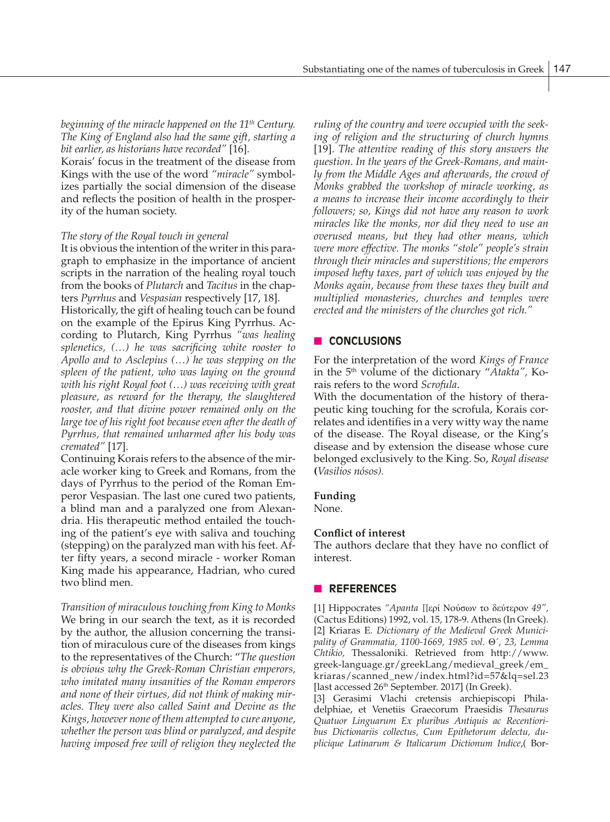*beginning of the miracle happened on the 11th Century. The King of England also had the same gift, starting a bit earlier, as historians have recorded"* [16].

Korais' focus in the treatment of the disease from Kings with the use of the word *"miracle"* symbolizes partially the social dimension of the disease and reflects the position of health in the prosperity of the human society.

#### *The story of the Royal touch in general*

It is obvious the intention of the writer in this paragraph to emphasize in the importance of ancient scripts in the narration of the healing royal touch from the books of *Plutarch* and *Tacitus* in the chapters *Pyrrhus* and *Vespasian* respectively [17, 18].

Historically, the gift of healing touch can be found on the example of the Epirus King Pyrrhus. According to Plutarch, King Pyrrhus *"was healing splenetics, (…) he was sacrificing white rooster to Apollo and to Asclepius (…) he was stepping on the spleen of the patient, who was laying on the ground with his right Royal foot (…) was receiving with great pleasure, as reward for the therapy, the slaughtered rooster, and that divine power remained only on the large toe of his right foot because even after the death of Pyrrhus, that remained unharmed after his body was cremated"* [17].

Continuing Korais refers to the absence of the miracle worker king to Greek and Romans, from the days of Pyrrhus to the period of the Roman Emperor Vespasian. The last one cured two patients, a blind man and a paralyzed one from Alexandria. His therapeutic method entailed the touching of the patient's eye with saliva and touching (stepping) on the paralyzed man with his feet. After fifty years, a second miracle - worker Roman King made his appearance, Hadrian, who cured two blind men.

*Transition of miraculous touching from King to Monks* We bring in our search the text, as it is recorded by the author, the allusion concerning the transition of miraculous cure of the diseases from kings to the representatives of the Church: "*The question is obvious why the Greek-Roman Christian emperors, who imitated many insanities of the Roman emperors and none of their virtues, did not think of making miracles. They were also called Saint and Devine as the Kings, however none of them attempted to cure anyone, whether the person was blind or paralyzed, and despite having imposed free will of religion they neglected the*  *ruling of the country and were occupied with the seeking of religion and the structuring of church hymns*  [19]. *The attentive reading of this story answers the question. In the years of the Greek-Romans, and mainly from the Middle Ages and afterwards, the crowd of Monks grabbed the workshop of miracle working, as a means to increase their income accordingly to their followers; so, Kings did not have any reason to work miracles like the monks, nor did they need to use an overused means, but they had other means, which were more effective. The monks "stole" people's strain through their miracles and superstitions; the emperors imposed hefty taxes, part of which was enjoyed by the Monks again, because from these taxes they built and multiplied monasteries, churches and temples were erected and the ministers of the churches got rich."* 

## **n CONCLUSIONS**

For the interpretation of the word *Kings of France* in the 5th volume of the dictionary "*Atakta",* Korais refers to the word *Scrofula*.

With the documentation of the history of therapeutic king touching for the scrofula, Korais correlates and identifies in a very witty way the name of the disease. The Royal disease, or the King's disease and by extension the disease whose cure belonged exclusively to the King. So, *Royal disease*  **(***Vasilios nósos).* 

#### **Funding**

None.

### **Conflict of interest**

The authors declare that they have no conflict of interest.

#### n **REFERENCES**

[1] Hippocrates *"Apanta Π*ερί Νούσων το δεύτερον *49",* (Cactus Editions) 1992, vol. 15, 178-9. Athens (In Greek). [2] Kriaras E. *Dictionary of the Medieval Greek Municipality of Grammatia, 1100-1669, 1985 vol.* Θ΄*, 23, Lemma Chtikio,* Thessaloniki. Retrieved from http://www. greek-language.gr/greekLang/medieval\_greek/em\_ kriaras/scanned\_new/index.html?id=57&lq=sel.23 [last accessed 26<sup>th</sup> September. 2017] (In Greek).

[3] Gerasimi Vlachi cretensis archiepiscopi Philadelphiae, et Venetiis Graecorum Praesidis *Thesaurus Quatuor Linguarum Ex pluribus Antiquis ac Recentioribus Dictionariis collectus, Cum Epithetorum delectu, duplicique Latinarum & Italicarum Dictionum Indice*,( Bor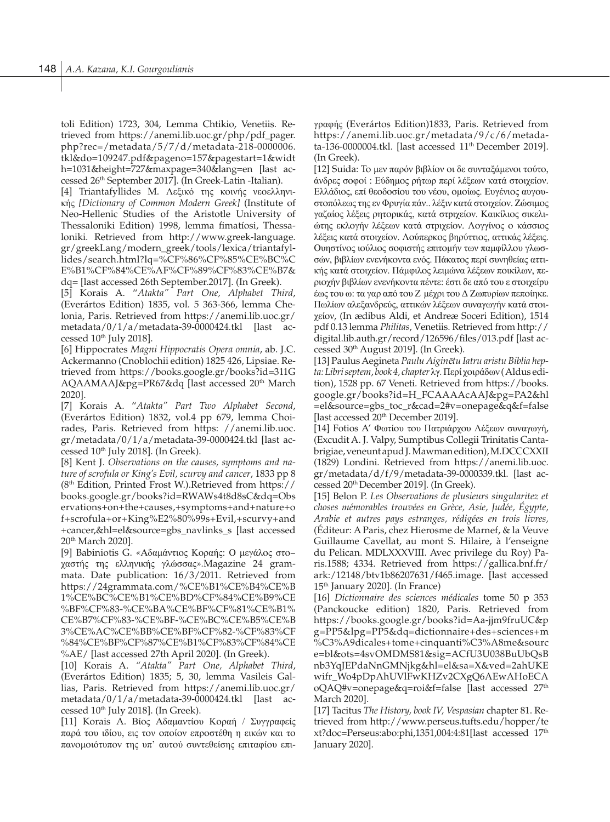toli Edition) 1723, 304, Lemma Chtikio, Venetiis. Retrieved from https://anemi.lib.uoc.gr/php/pdf\_pager. php?rec=/metadata/5/7/d/metadata-218-0000006. tkl&do=109247.pdf&pageno=157&pagestart=1&widt h=1031&height=727&maxpage=340&lang=en [last accessed 26<sup>th</sup> September 2017]. (In Greek-Latin -Italian).

[4] Triantafyllides M. Λεξικό της κοινής νεοελληνικής *[Dictionary of Common Modern Greek]* (Institute of Neo-Hellenic Studies of the Aristotle University of Thessaloniki Edition) 1998, lemma fimatíosi, Thessaloniki. Retrieved from http://www.greek-language. gr/greekLang/modern\_greek/tools/lexica/triantafyllides/search.html?lq=%CF%86%CF%85%CE%BC%C E%B1%CF%84%CE%AF%CF%89%CF%83%CE%B7& dq= [last accessed 26th September.2017]. (In Greek).

[5] Korais A. "*Atakta" Part One, Alphabet Third*, (Everártos Edition) 1835, vol. 5 363-366, lemma Chelonia, Paris. Retrieved from https://anemi.lib.uoc.gr/ metadata/0/1/a/metadata-39-0000424.tkl [last accessed 10<sup>th</sup> July 2018].

[6] Hippocrates *Magni Hippocratis Opera omnia*, ab. J.C. Ackermanno (Cnoblochii edition) 1825 426, Lipsiae. Retrieved from https://books.google.gr/books?id=311G AQAAMAAJ&pg=PR67&dq [last accessed 20<sup>th</sup> March 2020].

[7] Korais A. "*Atakta" Part Two Alphabet Second*, (Everártos Edition) 1832, vol.4 pp 679, lemma Choirades, Paris. Retrieved from https: //anemi.lib.uoc. gr/metadata/0/1/a/metadata-39-0000424.tkl [last accessed  $10<sup>th</sup>$  July 2018]. (In Greek).

[8] Kent J. *Observations on the causes, symptoms and nature of scrofula or King's Evil, scurvy and cancer*, 1833 pp 8 (8th Edition, Printed Frost W.).Retrieved from https:// books.google.gr/books?id=RWAWs4t8d8sC&dq=Obs ervations+on+the+causes,+symptoms+and+nature+o f+scrofula+or+King%E2%80%99s+Evil,+scurvy+and +cancer,&hl=el&source=gbs\_navlinks\_s [last accessed 20th March 2020].

[9] Babiniotis G. *«*Αδαμάντιος Κοραής: Ο μεγάλος στο− χαστής της ελληνικής γλώσσας*».*Magazine 24 grammata. Date publication: 16/3/2011. Retrieved from https://24grammata.com/%CE%B1%CE%B4%CE%B 1%CE%BC%CE%B1%CE%BD%CF%84%CE%B9%CE %BF%CF%83-%CE%BA%CE%BF%CF%81%CE%B1% CE%B7%CF%83-%CE%BF-%CE%BC%CE%B5%CE%B 3%CE%AC%CE%BB%CE%BF%CF%82-%CF%83%CF %84%CE%BF%CF%87%CE%B1%CF%83%CF%84%CE %AE/ [last accessed 27th April 2020]. (In Greek).

[10] Korais A. *"Atakta" Part One, Alphabet Third*, (Everártos Edition) 1835; 5, 30, lemma Vasileis Gallias, Paris. Retrieved from https://anemi.lib.uoc.gr/ metadata/0/1/a/metadata-39-0000424.tkl [last accessed 10<sup>th</sup> July 2018]. (In Greek).

[11] Korais A. Βίος Αδαμαντίου Κοραή / Συγγραφείς παρά του ιδίου, εις τον οποίον επροστέθη η εικών και το πανομοιότυπον της υπ' αυτού συντεθείσης επιταφίου επιγραφής (Everártos Edition)1833, Paris. Retrieved from https://anemi.lib.uoc.gr/metadata/9/c/6/metadata-136-0000004.tkl. [last accessed 11<sup>th</sup> December 2019]. (In Greek).

[12] Suida: To μεν παρόν βιβλίον οι δε συνταξάμενοι τούτο, άνδρες σοφοί : Εύδημος ρήτωρ περί λέξεων κατά στοιχείον. Ελλάδιος, επί θεοδοσίου του νέου, ομοίως. Ευγένιος αυγουστοπόλεως της εν Φρυγία πάν.. λέξιν κατά στοιχείον. Zώσιμος γαζαίος λέξεις ρητορικάς, κατά στοιχείον. Καικίλιος σικελιώτης εκλογήν λέξεων κατά στοιχείον. Λογγίνος ο κάσσιος λέξεις κατά στοιχείον. Λούπερκος βηρύττιος, αττικάς λέξεις. Ουηστίνος ιούλιος σοφιστής επιτομήν των παμφίλλου γλωσσών, βιβλίων ενενήκοντα ενός. Πάκατος περί συνηθείας αττικής κατά στοιχείον. Πάμφιλος λειμώνα λέξεων ποικίλων, περιοχήν βιβλίων ενενήκοντα πέντε: έστι δε από του ε στοιχείου έως του ω: τα γαρ από του Α μέχρι του Δ Ζωπυρίων πεποίηκε. Πωλίων αλεξανδρεύς, αττικών λέξεων συναγωγήν κατά στοιχείον, (In ædibus Aldi, et Andreæ Soceri Edition), 1514 pdf 0.13 lemma *Philitas*, Venetiis. Retrieved from http:// digital.lib.auth.gr/record/126596/files/013.pdf [last accessed 30<sup>th</sup> August 2019]. (In Greek).

[13] Paulus Aegineta *Paulu Aigin*ē*tu Iatru aristu Biblia hepta: Libri septem*, *book 4, chapter* λγ*.* Περί χοιράδων ( Aldus edition), 1528 pp. 67 Veneti. Retrieved from https://books. google.gr/books?id=H\_FCAAAAcAAJ&pg=PA2&hl =el&source=gbs\_toc\_r&cad=2#v=onepage&q&f=false [last accessed 20<sup>th</sup> December 2019].

[14] Fotios A' Φωτίου του Πατριάρχου Λέξεων συναγωγή, (Excudit A. J. Valpy, Sumptibus Collegii Trinitatis Cantabrigiae, veneunt apud J. Mawman edition), M.DCCCXXII (1829) Londini. Retrieved from https://anemi.lib.uoc. gr/metadata/d/f/9/metadata-39-0000339.tkl. [last accessed 20th December 2019]. (In Greek).

[15] Belon P. *Les Observations de plusieurs singularitez et choses mémorables trouvées en Grèce, Asie, Judée, Égypte, Arabie et autres pays estranges, rédigées en trois livres,*  (Éditeur: A Paris, chez Hierosme de Marnef, & la Veuve Guillaume Cavellat, au mont S. Hilaire, à l'enseigne du Pelican. MDLXXXVIII. Avec privilege du Roy) Paris.1588; 4334. Retrieved from https://gallica.bnf.fr/ ark:/12148/btv1b86207631/f465.image. [last accessed 15<sup>th</sup> January 2020]. (In France)

[16] *Dictionnaire des sciences médicales* tome 50 p 353 (Panckoucke edition) 1820, Paris. Retrieved from https://books.google.gr/books?id=Aa-jjm9fruUC&p g=PP5&lpg=PP5&dq=dictionnaire+des+sciences+m %C3%A9dicales+tome+cinquanti%C3%A8me&sourc e=bl&ots=4svOMDMS81&sig=ACfU3U038BuUbQsB nb3YqJEPdaNnGMNjkg&hl=el&sa=X&ved=2ahUKE wifr\_Wo4pDpAhUVlFwKHZv2CXgO6AEwAHoECA oQAQ#v=onepage&q=roi&f=false [last accessed 27<sup>th</sup> March 2020].

[17] Tacitus *The History, book IV, Vespasian* chapter 81. Retrieved from http://www.perseus.tufts.edu/hopper/te xt?doc=Perseus:abo:phi,1351,004:4:81[last accessed 17th January 2020].